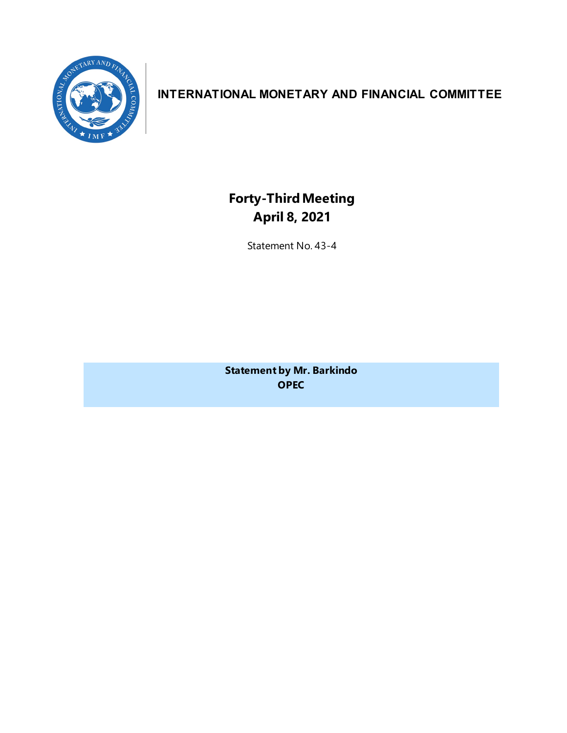

#### **INTERNATIONAL MONETARY AND FINANCIAL COMMITTEE**

**Forty-ThirdMeeting April 8, 2021**

Statement No. 43-4

**Statement by Mr. Barkindo OPEC**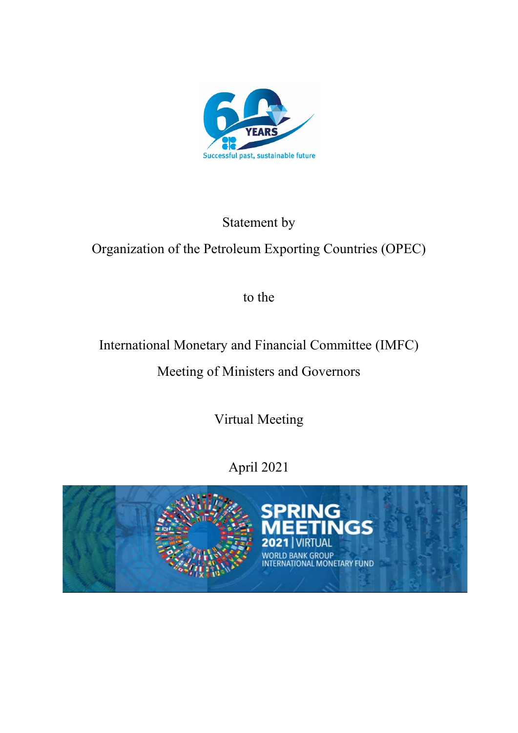

#### Statement by

# Organization of the Petroleum Exporting Countries (OPEC)

to the

# International Monetary and Financial Committee (IMFC)

### Meeting of Ministers and Governors

Virtual Meeting

April 2021

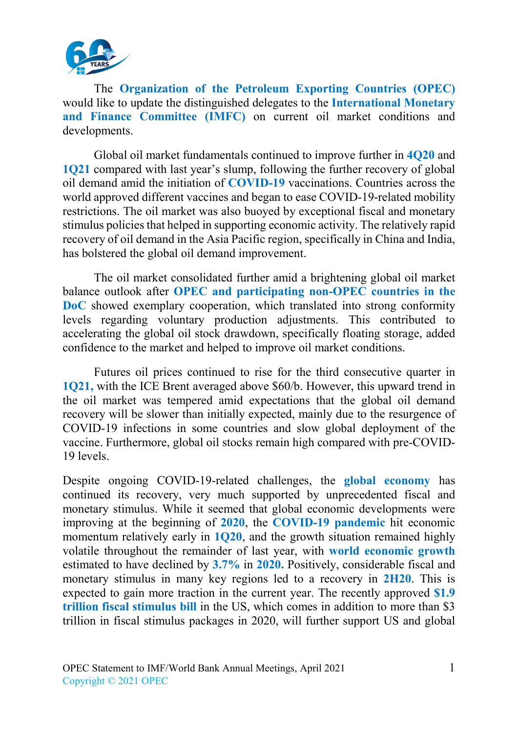

The **Organization of the Petroleum Exporting Countries (OPEC)**  would like to update the distinguished delegates to the **International Monetary and Finance Committee (IMFC)** on current oil market conditions and developments.

Global oil market fundamentals continued to improve further in **4Q20** and **1Q21** compared with last year's slump, following the further recovery of global oil demand amid the initiation of **COVID-19** vaccinations. Countries across the world approved different vaccines and began to ease COVID-19-related mobility restrictions. The oil market was also buoyed by exceptional fiscal and monetary stimulus policies that helped in supporting economic activity. The relatively rapid recovery of oil demand in the Asia Pacific region, specifically in China and India, has bolstered the global oil demand improvement.

The oil market consolidated further amid a brightening global oil market balance outlook after **OPEC and participating non-OPEC countries in the DoC** showed exemplary cooperation, which translated into strong conformity levels regarding voluntary production adjustments. This contributed to accelerating the global oil stock drawdown, specifically floating storage, added confidence to the market and helped to improve oil market conditions.

Futures oil prices continued to rise for the third consecutive quarter in **1Q21,** with the ICE Brent averaged above \$60/b. However, this upward trend in the oil market was tempered amid expectations that the global oil demand recovery will be slower than initially expected, mainly due to the resurgence of COVID-19 infections in some countries and slow global deployment of the vaccine. Furthermore, global oil stocks remain high compared with pre-COVID-19 levels.

Despite ongoing COVID-19-related challenges, the **global economy** has continued its recovery, very much supported by unprecedented fiscal and monetary stimulus. While it seemed that global economic developments were improving at the beginning of **2020**, the **COVID-19 pandemic** hit economic momentum relatively early in **1Q20**, and the growth situation remained highly volatile throughout the remainder of last year, with **world economic growth** estimated to have declined by **3.7%** in **2020.** Positively, considerable fiscal and monetary stimulus in many key regions led to a recovery in **2H20**. This is expected to gain more traction in the current year. The recently approved **\$1.9 trillion fiscal stimulus bill** in the US, which comes in addition to more than \$3 trillion in fiscal stimulus packages in 2020, will further support US and global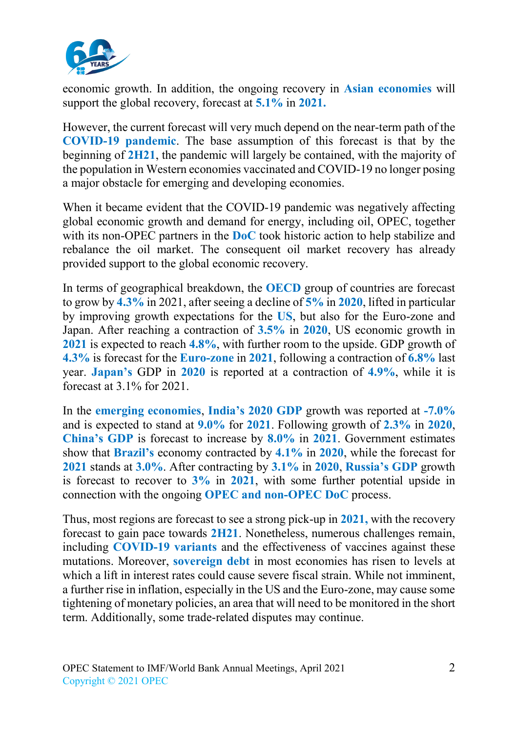

economic growth. In addition, the ongoing recovery in **Asian economies** will support the global recovery, forecast at **5.1%** in **2021.**

However, the current forecast will very much depend on the near-term path of the **COVID-19 pandemic**. The base assumption of this forecast is that by the beginning of **2H21**, the pandemic will largely be contained, with the majority of the population in Western economies vaccinated and COVID-19 no longer posing a major obstacle for emerging and developing economies.

When it became evident that the COVID-19 pandemic was negatively affecting global economic growth and demand for energy, including oil, OPEC, together with its non-OPEC partners in the **DoC** took historic action to help stabilize and rebalance the oil market. The consequent oil market recovery has already provided support to the global economic recovery.

In terms of geographical breakdown, the **OECD** group of countries are forecast to grow by **4.3%** in 2021, after seeing a decline of **5%** in **2020**, lifted in particular by improving growth expectations for the **US**, but also for the Euro-zone and Japan. After reaching a contraction of **3.5%** in **2020**, US economic growth in **2021** is expected to reach **4.8%**, with further room to the upside. GDP growth of **4.3%** is forecast for the **Euro-zone** in **2021**, following a contraction of **6.8%** last year. **Japan's** GDP in **2020** is reported at a contraction of **4.9%**, while it is forecast at 3.1% for 2021.

In the **emerging economies**, **India's 2020 GDP** growth was reported at **-7.0%**  and is expected to stand at **9.0%** for **2021**. Following growth of **2.3%** in **2020**, **China's GDP** is forecast to increase by **8.0%** in **2021**. Government estimates show that **Brazil's** economy contracted by **4.1%** in **2020**, while the forecast for **2021** stands at **3.0%**. After contracting by **3.1%** in **2020**, **Russia's GDP** growth is forecast to recover to **3%** in **2021**, with some further potential upside in connection with the ongoing **OPEC and non-OPEC DoC** process.

Thus, most regions are forecast to see a strong pick-up in **2021,** with the recovery forecast to gain pace towards **2H21**. Nonetheless, numerous challenges remain, including **COVID-19 variants** and the effectiveness of vaccines against these mutations. Moreover, **sovereign debt** in most economies has risen to levels at which a lift in interest rates could cause severe fiscal strain. While not imminent, a further rise in inflation, especially in the US and the Euro-zone, may cause some tightening of monetary policies, an area that will need to be monitored in the short term. Additionally, some trade-related disputes may continue.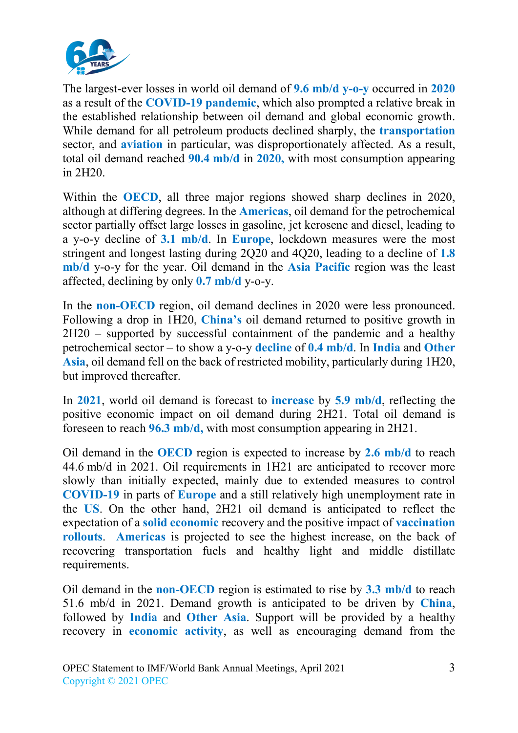

The largest-ever losses in world oil demand of **9.6 mb/d y-o-y** occurred in **2020** as a result of the **COVID-19 pandemic**, which also prompted a relative break in the established relationship between oil demand and global economic growth. While demand for all petroleum products declined sharply, the **transportation** sector, and **aviation** in particular, was disproportionately affected. As a result, total oil demand reached **90.4 mb/d** in **2020,** with most consumption appearing in 2H20.

Within the **OECD**, all three major regions showed sharp declines in 2020, although at differing degrees. In the **Americas**, oil demand for the petrochemical sector partially offset large losses in gasoline, jet kerosene and diesel, leading to a y-o-y decline of **3.1 mb/d**. In **Europe**, lockdown measures were the most stringent and longest lasting during 2Q20 and 4Q20, leading to a decline of **1.8 mb/d** y-o-y for the year. Oil demand in the **Asia Pacific** region was the least affected, declining by only **0.7 mb/d** y-o-y.

In the **non-OECD** region, oil demand declines in 2020 were less pronounced. Following a drop in 1H20, **China's** oil demand returned to positive growth in 2H20 – supported by successful containment of the pandemic and a healthy petrochemical sector – to show a y-o-y **decline** of **0.4 mb/d**. In **India** and **Other Asia**, oil demand fell on the back of restricted mobility, particularly during 1H20, but improved thereafter.

In **2021**, world oil demand is forecast to **increase** by **5.9 mb/d**, reflecting the positive economic impact on oil demand during 2H21. Total oil demand is foreseen to reach **96.3 mb/d,** with most consumption appearing in 2H21.

Oil demand in the **OECD** region is expected to increase by **2.6 mb/d** to reach 44.6 mb/d in 2021. Oil requirements in 1H21 are anticipated to recover more slowly than initially expected, mainly due to extended measures to control **COVID-19** in parts of **Europe** and a still relatively high unemployment rate in the **US**. On the other hand, 2H21 oil demand is anticipated to reflect the expectation of a **solid economic** recovery and the positive impact of **vaccination rollouts**. **Americas** is projected to see the highest increase, on the back of recovering transportation fuels and healthy light and middle distillate requirements.

Oil demand in the **non-OECD** region is estimated to rise by **3.3 mb/d** to reach 51.6 mb/d in 2021. Demand growth is anticipated to be driven by **China**, followed by **India** and **Other Asia**. Support will be provided by a healthy recovery in **economic activity**, as well as encouraging demand from the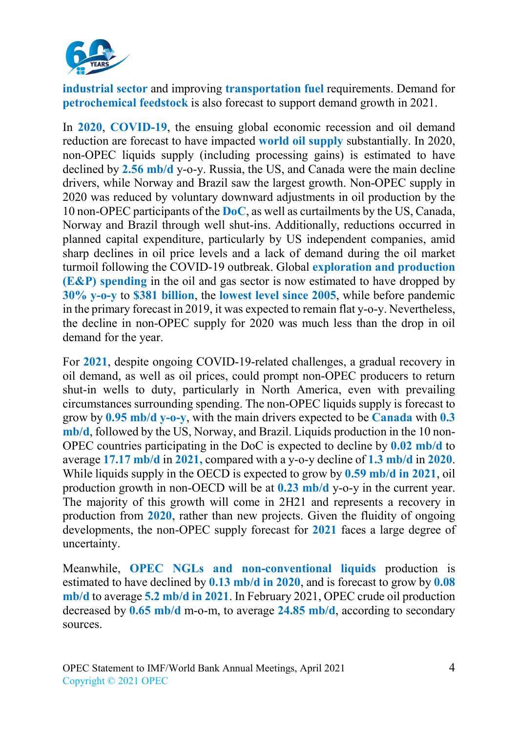

**industrial sector** and improving **transportation fuel** requirements. Demand for **petrochemical feedstock** is also forecast to support demand growth in 2021.

In **2020**, **COVID-19**, the ensuing global economic recession and oil demand reduction are forecast to have impacted **world oil supply** substantially. In 2020, non-OPEC liquids supply (including processing gains) is estimated to have declined by **2.56 mb/d** y-o-y. Russia, the US, and Canada were the main decline drivers, while Norway and Brazil saw the largest growth. Non-OPEC supply in 2020 was reduced by voluntary downward adjustments in oil production by the 10 non-OPEC participants of the **DoC**, as well as curtailments by the US, Canada, Norway and Brazil through well shut-ins. Additionally, reductions occurred in planned capital expenditure, particularly by US independent companies, amid sharp declines in oil price levels and a lack of demand during the oil market turmoil following the COVID-19 outbreak. Global **exploration and production (E&P) spending** in the oil and gas sector is now estimated to have dropped by **30% y-o-y** to **\$381 billion**, the **lowest level since 2005**, while before pandemic in the primary forecast in 2019, it was expected to remain flat y-o-y. Nevertheless, the decline in non-OPEC supply for 2020 was much less than the drop in oil demand for the year.

For **2021**, despite ongoing COVID-19-related challenges, a gradual recovery in oil demand, as well as oil prices, could prompt non-OPEC producers to return shut-in wells to duty, particularly in North America, even with prevailing circumstances surrounding spending. The non-OPEC liquids supply is forecast to grow by **0.95 mb/d y-o-y**, with the main drivers expected to be **Canada** with **0.3 mb/d**, followed by the US, Norway, and Brazil. Liquids production in the 10 non-OPEC countries participating in the DoC is expected to decline by **0.02 mb/d** to average **17.17 mb/d** in **2021,** compared with a y-o-y decline of **1.3 mb/d** in **2020**. While liquids supply in the OECD is expected to grow by **0.59 mb/d in 2021**, oil production growth in non-OECD will be at **0.23 mb/d** y-o-y in the current year. The majority of this growth will come in 2H21 and represents a recovery in production from **2020**, rather than new projects. Given the fluidity of ongoing developments, the non-OPEC supply forecast for **2021** faces a large degree of uncertainty.

Meanwhile, **OPEC NGLs and non-conventional liquids** production is estimated to have declined by **0.13 mb/d in 2020**, and is forecast to grow by **0.08 mb/d** to average **5.2 mb/d in 2021**. In February 2021, OPEC crude oil production decreased by **0.65 mb/d** m-o-m, to average **24.85 mb/d**, according to secondary sources.